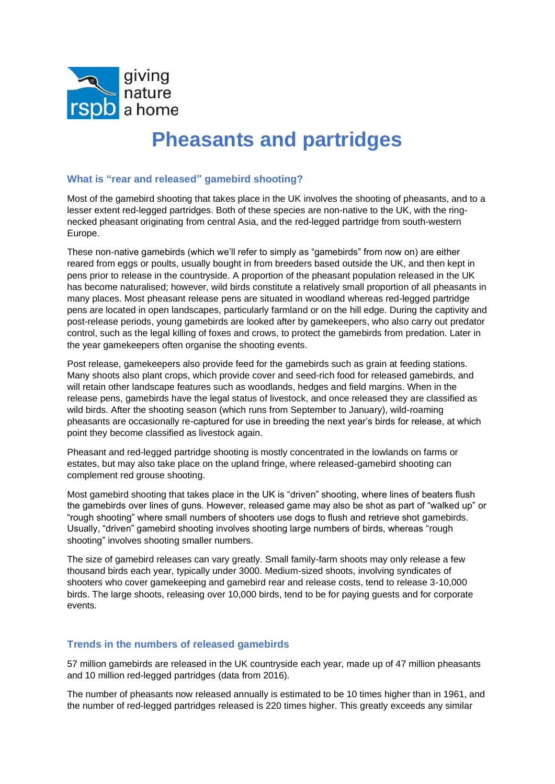

# **Pheasants and partridges**

## **What is "rear and released" gamebird shooting?**

Most of the gamebird shooting that takes place in the UK involves the shooting of pheasants, and to a lesser extent red-legged partridges. Both of these species are non-native to the UK, with the ringnecked pheasant originating from central Asia, and the red-legged partridge from south-western Europe.

These non-native gamebirds (which we'll refer to simply as "gamebirds" from now on) are either reared from eggs or poults, usually bought in from breeders based outside the UK, and then kept in pens prior to release in the countryside. A proportion of the pheasant population released in the UK has become naturalised; however, wild birds constitute a relatively small proportion of all pheasants in many places. Most pheasant release pens are situated in woodland whereas red-legged partridge pens are located in open landscapes, particularly farmland or on the hill edge. During the captivity and post-release periods, young gamebirds are looked after by gamekeepers, who also carry out predator control, such as the legal killing of foxes and crows, to protect the gamebirds from predation. Later in the year gamekeepers often organise the shooting events.

Post release, gamekeepers also provide feed for the gamebirds such as grain at feeding stations. Many shoots also plant crops, which provide cover and seed-rich food for released gamebirds, and will retain other landscape features such as woodlands, hedges and field margins. When in the release pens, gamebirds have the legal status of livestock, and once released they are classified as wild birds. After the shooting season (which runs from September to January), wild-roaming pheasants are occasionally re-captured for use in breeding the next year's birds for release, at which point they become classified as livestock again.

Pheasant and red-legged partridge shooting is mostly concentrated in the lowlands on farms or estates, but may also take place on the upland fringe, where released-gamebird shooting can complement red grouse shooting.

Most gamebird shooting that takes place in the UK is "driven" shooting, where lines of beaters flush the gamebirds over lines of guns. However, released game may also be shot as part of "walked up" or "rough shooting" where small numbers of shooters use dogs to flush and retrieve shot gamebirds. Usually, "driven" gamebird shooting involves shooting large numbers of birds, whereas "rough shooting" involves shooting smaller numbers.

The size of gamebird releases can vary greatly. Small family-farm shoots may only release a few thousand birds each year, typically under 3000. Medium-sized shoots, involving syndicates of shooters who cover gamekeeping and gamebird rear and release costs, tend to release 3-10,000 birds. The large shoots, releasing over 10,000 birds, tend to be for paying guests and for corporate events.

# **Trends in the numbers of released gamebirds**

57 million gamebirds are released in the UK countryside each year, made up of 47 million pheasants and 10 million red-legged partridges (data from 2016).

The number of pheasants now released annually is estimated to be 10 times higher than in 1961, and the number of red-legged partridges released is 220 times higher. This greatly exceeds any similar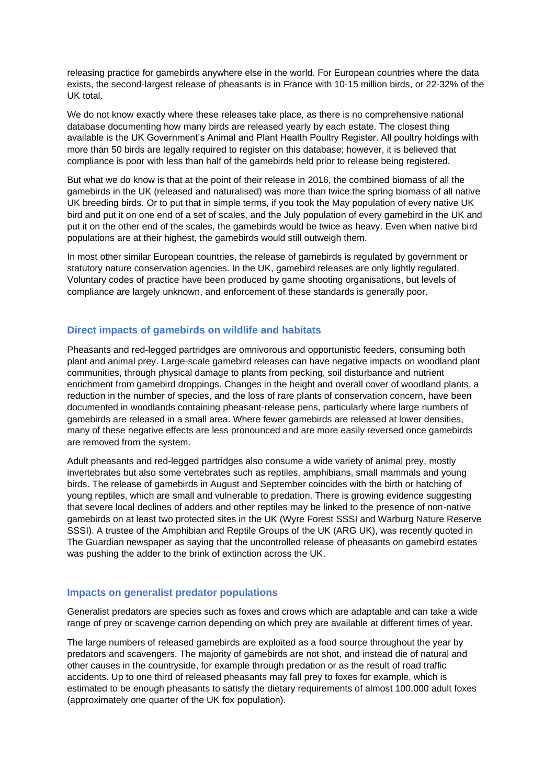releasing practice for gamebirds anywhere else in the world. For European countries where the data exists, the second-largest release of pheasants is in France with 10-15 million birds, or 22-32% of the UK total.

We do not know exactly where these releases take place, as there is no comprehensive national database documenting how many birds are released yearly by each estate. The closest thing available is the UK Government's Animal and Plant Health Poultry Register. All poultry holdings with more than 50 birds are legally required to register on this database; however, it is believed that compliance is poor with less than half of the gamebirds held prior to release being registered.

But what we do know is that at the point of their release in 2016, the combined biomass of all the gamebirds in the UK (released and naturalised) was more than twice the spring biomass of all native UK breeding birds. Or to put that in simple terms, if you took the May population of every native UK bird and put it on one end of a set of scales, and the July population of every gamebird in the UK and put it on the other end of the scales, the gamebirds would be twice as heavy. Even when native bird populations are at their highest, the gamebirds would still outweigh them.

In most other similar European countries, the release of gamebirds is regulated by government or statutory nature conservation agencies. In the UK, gamebird releases are only lightly regulated. Voluntary codes of practice have been produced by game shooting organisations, but levels of compliance are largely unknown, and enforcement of these standards is generally poor.

# **Direct impacts of gamebirds on wildlife and habitats**

Pheasants and red-legged partridges are omnivorous and opportunistic feeders, consuming both plant and animal prey. Large-scale gamebird releases can have negative impacts on woodland plant communities, through physical damage to plants from pecking, soil disturbance and nutrient enrichment from gamebird droppings. Changes in the height and overall cover of woodland plants, a reduction in the number of species, and the loss of rare plants of conservation concern, have been documented in woodlands containing pheasant-release pens, particularly where large numbers of gamebirds are released in a small area. Where fewer gamebirds are released at lower densities, many of these negative effects are less pronounced and are more easily reversed once gamebirds are removed from the system.

Adult pheasants and red-legged partridges also consume a wide variety of animal prey, mostly invertebrates but also some vertebrates such as reptiles, amphibians, small mammals and young birds. The release of gamebirds in August and September coincides with the birth or hatching of young reptiles, which are small and vulnerable to predation. There is growing evidence suggesting that severe local declines of adders and other reptiles may be linked to the presence of non-native gamebirds on at least two protected sites in the UK (Wyre Forest SSSI and Warburg Nature Reserve SSSI). A trustee of the Amphibian and Reptile Groups of the UK (ARG UK), was recently quoted in The Guardian newspaper as saying that the uncontrolled release of pheasants on gamebird estates was pushing the adder to the brink of extinction across the UK.

#### **Impacts on generalist predator populations**

Generalist predators are species such as foxes and crows which are adaptable and can take a wide range of prey or scavenge carrion depending on which prey are available at different times of year.

The large numbers of released gamebirds are exploited as a food source throughout the year by predators and scavengers. The majority of gamebirds are not shot, and instead die of natural and other causes in the countryside, for example through predation or as the result of road traffic accidents. Up to one third of released pheasants may fall prey to foxes for example, which is estimated to be enough pheasants to satisfy the dietary requirements of almost 100,000 adult foxes (approximately one quarter of the UK fox population).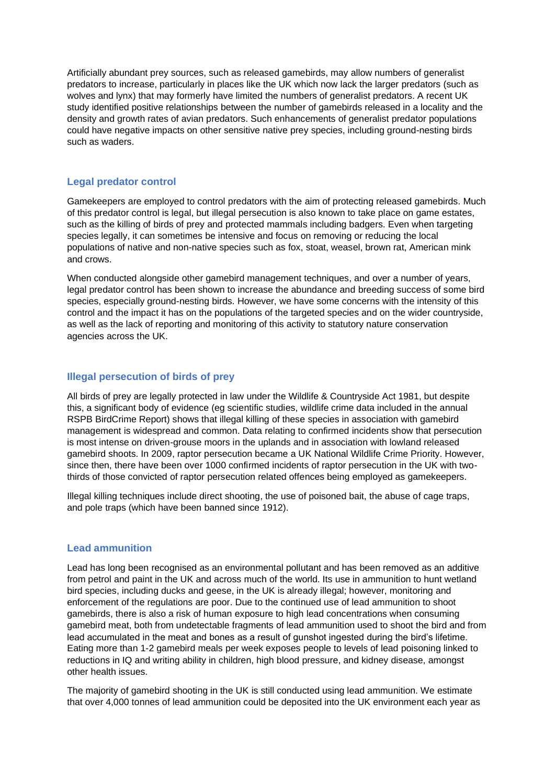Artificially abundant prey sources, such as released gamebirds, may allow numbers of generalist predators to increase, particularly in places like the UK which now lack the larger predators (such as wolves and lynx) that may formerly have limited the numbers of generalist predators. A recent UK study identified positive relationships between the number of gamebirds released in a locality and the density and growth rates of avian predators. Such enhancements of generalist predator populations could have negative impacts on other sensitive native prey species, including ground-nesting birds such as waders.

## **Legal predator control**

Gamekeepers are employed to control predators with the aim of protecting released gamebirds. Much of this predator control is legal, but illegal persecution is also known to take place on game estates, such as the killing of birds of prey and protected mammals including badgers. Even when targeting species legally, it can sometimes be intensive and focus on removing or reducing the local populations of native and non-native species such as fox, stoat, weasel, brown rat, American mink and crows.

When conducted alongside other gamebird management techniques, and over a number of years, legal predator control has been shown to increase the abundance and breeding success of some bird species, especially ground-nesting birds. However, we have some concerns with the intensity of this control and the impact it has on the populations of the targeted species and on the wider countryside, as well as the lack of reporting and monitoring of this activity to statutory nature conservation agencies across the UK.

### **Illegal persecution of birds of prey**

All birds of prey are legally protected in law under the Wildlife & Countryside Act 1981, but despite this, a significant body of evidence (eg scientific studies, wildlife crime data included in the annual RSPB BirdCrime Report) shows that illegal killing of these species in association with gamebird management is widespread and common. Data relating to confirmed incidents show that persecution is most intense on driven-grouse moors in the uplands and in association with lowland released gamebird shoots. In 2009, raptor persecution became a UK National Wildlife Crime Priority. However, since then, there have been over 1000 confirmed incidents of raptor persecution in the UK with twothirds of those convicted of raptor persecution related offences being employed as gamekeepers.

Illegal killing techniques include direct shooting, the use of poisoned bait, the abuse of cage traps, and pole traps (which have been banned since 1912).

## **Lead ammunition**

Lead has long been recognised as an environmental pollutant and has been removed as an additive from petrol and paint in the UK and across much of the world. Its use in ammunition to hunt wetland bird species, including ducks and geese, in the UK is already illegal; however, monitoring and enforcement of the regulations are poor. Due to the continued use of lead ammunition to shoot gamebirds, there is also a risk of human exposure to high lead concentrations when consuming gamebird meat, both from undetectable fragments of lead ammunition used to shoot the bird and from lead accumulated in the meat and bones as a result of gunshot ingested during the bird's lifetime. Eating more than 1-2 gamebird meals per week exposes people to levels of lead poisoning linked to reductions in IQ and writing ability in children, high blood pressure, and kidney disease, amongst other health issues.

The majority of gamebird shooting in the UK is still conducted using lead ammunition. We estimate that over 4,000 tonnes of lead ammunition could be deposited into the UK environment each year as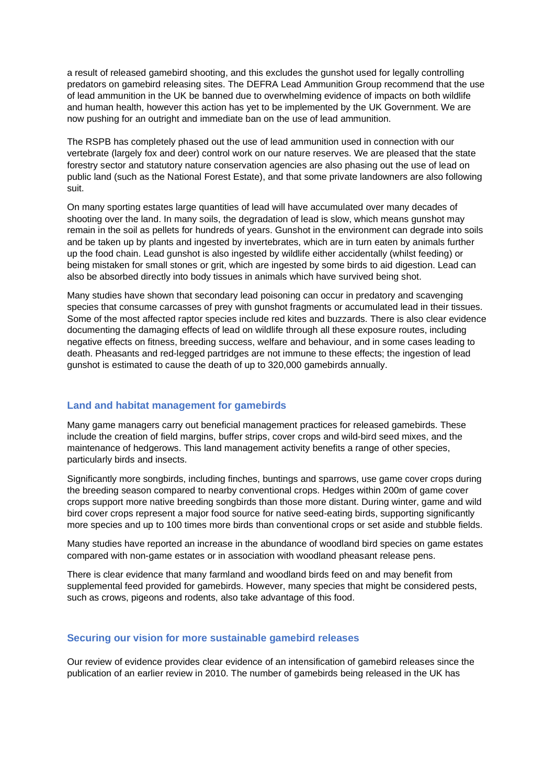a result of released gamebird shooting, and this excludes the gunshot used for legally controlling predators on gamebird releasing sites. The DEFRA Lead Ammunition Group recommend that the use of lead ammunition in the UK be banned due to overwhelming evidence of impacts on both wildlife and human health, however this action has yet to be implemented by the UK Government. We are now pushing for an outright and immediate ban on the use of lead ammunition.

The RSPB has completely phased out the use of lead ammunition used in connection with our vertebrate (largely fox and deer) control work on our nature reserves. We are pleased that the state forestry sector and statutory nature conservation agencies are also phasing out the use of lead on public land (such as the National Forest Estate), and that some private landowners are also following suit.

On many sporting estates large quantities of lead will have accumulated over many decades of shooting over the land. In many soils, the degradation of lead is slow, which means gunshot may remain in the soil as pellets for hundreds of years. Gunshot in the environment can degrade into soils and be taken up by plants and ingested by invertebrates, which are in turn eaten by animals further up the food chain. Lead gunshot is also ingested by wildlife either accidentally (whilst feeding) or being mistaken for small stones or grit, which are ingested by some birds to aid digestion. Lead can also be absorbed directly into body tissues in animals which have survived being shot.

Many studies have shown that secondary lead poisoning can occur in predatory and scavenging species that consume carcasses of prey with gunshot fragments or accumulated lead in their tissues. Some of the most affected raptor species include red kites and buzzards. There is also clear evidence documenting the damaging effects of lead on wildlife through all these exposure routes, including negative effects on fitness, breeding success, welfare and behaviour, and in some cases leading to death. Pheasants and red-legged partridges are not immune to these effects; the ingestion of lead gunshot is estimated to cause the death of up to 320,000 gamebirds annually.

#### **Land and habitat management for gamebirds**

Many game managers carry out beneficial management practices for released gamebirds. These include the creation of field margins, buffer strips, cover crops and wild-bird seed mixes, and the maintenance of hedgerows. This land management activity benefits a range of other species, particularly birds and insects.

Significantly more songbirds, including finches, buntings and sparrows, use game cover crops during the breeding season compared to nearby conventional crops. Hedges within 200m of game cover crops support more native breeding songbirds than those more distant. During winter, game and wild bird cover crops represent a major food source for native seed-eating birds, supporting significantly more species and up to 100 times more birds than conventional crops or set aside and stubble fields.

Many studies have reported an increase in the abundance of woodland bird species on game estates compared with non-game estates or in association with woodland pheasant release pens.

There is clear evidence that many farmland and woodland birds feed on and may benefit from supplemental feed provided for gamebirds. However, many species that might be considered pests, such as crows, pigeons and rodents, also take advantage of this food.

#### **Securing our vision for more sustainable gamebird releases**

Our review of evidence provides clear evidence of an intensification of gamebird releases since the publication of an earlier review in 2010. The number of gamebirds being released in the UK has